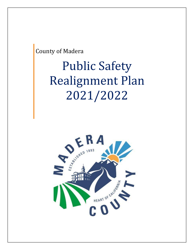County of Madera

# Public Safety Realignment Plan 2021/2022

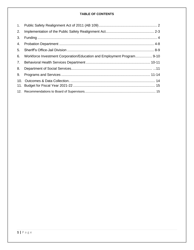# **TABLE OF CONTENTS**

| 1.  |                                                                        |  |
|-----|------------------------------------------------------------------------|--|
| 2.  |                                                                        |  |
| 3.  |                                                                        |  |
| 4.  |                                                                        |  |
| 5.  |                                                                        |  |
| 6.  | Workforce Investment Corporation/Education and Employment Program 9-10 |  |
| 7.  |                                                                        |  |
| 8.  |                                                                        |  |
| 9.  |                                                                        |  |
| 10. |                                                                        |  |
|     |                                                                        |  |
|     |                                                                        |  |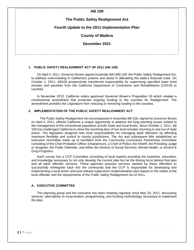# **AB 109**

# **The Public Safety Realignment Act**

## **Fourth Update to the 2011 Implementation Plan**

## **County of Madera**

**December 2021**

#### **1. PUBLIC SAFETY REALIGNMENT ACT OF 2011 (AB 109)**

On April 4, 2011, Governor Brown signed Assembly Bill (AB) 109, the Public Safety Realignment Act, to address overcrowding in California's prisons and assist in alleviating the state's financial crisis. On October 1, 2011, AB109 prospectively transferred responsibility for supervising specified lower level inmates and parolees from the California Department of Corrections and Rehabilitation (CDCR) to counties.

In November 2012, California voters approved Governor Brown's Proposition 30 which created a constitutional amendment that protected ongoing funding to the counties for Realignment. The amendment prohibits the Legislature from reducing or removing funding to the counties.

## **2. IMPLEMENTATION OF THE PUBLIC SAFETY REALIGNMENT ACT**

The Public Safety Realignment Act encompassed in Assembly Bill 109, signed by Governor Brown on April 4, 2011, offered California a unique opportunity to address the long-standing issues related to the management of the correctional population at both State and local levels. Since October 1, 2011, AB 109 has challenged California to close the revolving door of low-level inmates churning in and out of state prison. The legislation assigned new local responsibilities for managing adult offenders by affording maximum flexibility and control to county jurisdictions. The Act and subsequent bills established an executive committee made up of members from the Community Corrections Partnership Committee consisting of the Chief Probation Officer (chairperson), a Chief of Police, the Sheriff, the Presiding Judge or designee, the Public Defender, and either the Director of Social Services, Mental Health, or Alcohol & Drug Programs.

Each county has a CCP Committee consisting of local experts providing the expertise, education, and knowledge necessary to not only develop the current plan but be the driving force behind that plan and all adult offender services. These agencies possess services needed by these offenders to successfully reintegrate back into the community and the CCP is responsible for developing and implementing a local action and post release supervision implementation plan based on the needs of the local offender and the requirements of the Public Safety Realignment Act of 2011.

## **A. EXECUTIVE COMMITTEE**

The planning group and the executive has been meeting regularly since May 29, 2011, discussing services, alternatives to incarceration, programming, and funding methodology necessary to implement the plan.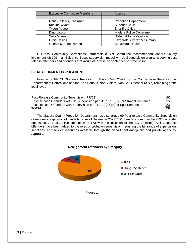| <b>Executive Committee Members</b> | Agency                          |
|------------------------------------|---------------------------------|
| Chris Childers, Chairman           | <b>Probation Department</b>     |
| Kristina Wyatt                     | <b>Superior Court</b>           |
| <b>Tyson Pogue</b>                 | Sheriff's Office                |
| Dino Lawson                        | <b>Madera Police Department</b> |
| Sally Moreno                       | District Attorney's office      |
| <b>Craig Collins</b>               | Fitzgerald Alvarez & Ciummo     |
| Connie Moreno-Peraza               | <b>Behavioral Health</b>        |

Our local Community Corrections Partnership (CCP) Committee recommended Madera County implement AB 109 in an Evidence-Based supervision model with dual supervision programs serving post release offenders and offenders that would otherwise be sentenced to state prison.

## **B. REALIGNMENT POPULATION**

Number of PRCS Offenders Received in Fiscal Year 20-21 by the County from the California Department of Corrections and the Non-Serious, Non-Violent, Non-Sex Offender (3 N's) remaining at the local level.

| Post-Release Community Supervision (PRCS):                                           | 191            |
|--------------------------------------------------------------------------------------|----------------|
| Post-Release Offenders with No-Supervision per (1170(h)(5)(A) or Straight Sentence : | 25             |
| Post-Release Offenders with Supervision per (1170(h)(5)(B) or Split Sentence :       | $\frac{23}{2}$ |
| TOTAL                                                                                | 239            |

The Madera County Probation Department has discharged 99 Post-release Community Supervision cases due to expiration of parole time. As of December 2021, 130 offenders comprise the PRCS offender population. A total AB109 population of 173 with the inclusion of the 1170(h)(5)(B), Split Sentence offenders have been added to the roles of probation supervision, requiring the full range of supervision, sanctions, and service resources available through the department and public and private agencies. *Figure 1*

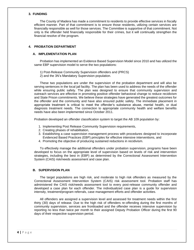#### **3. FUNDING**

The County of Madera has made a commitment to residents to provide effective services in fiscally efficient manner. Part of that commitment is to ensure those residents, utilizing certain services are financially responsible as well for those services. The Committee is supportive of that commitment. Not only is the offender held financially responsible for their crimes, but it will continually strengthen the financial resolve of the program.

## **4. PROBATION DEPARTMENT**

#### **A. IMPLEMENTATION PLAN**

Probation has implemented an Evidence Based Supervision Model since 2010 and has utilized the same EBP supervision model to serve the two populations:

1) Post-Release Community Supervision offenders and (PRCS) 2) and the 3N's Mandatory Supervision population.

These two populations are under the supervision of the probation department and will also be serving sentences in the local jail facility. The plan has been used to address the needs of the offender while ensuring public safety. The plan was designed to ensure that community supervision and outreach services are effective in promoting positive offender behavioral change to reduce recidivism and State Prison commitments. We believe these strategies have generated the greatest outcomes for the offender and the community and have also ensured public safety. The immediate placement in appropriate treatment is critical to meet the offender's substance abuse, mental health, or dual diagnosis treatment needs. The connection to appropriate community health and welfare benefits needs have also been implemented since October 2011.

Probation developed an offender classification system to target the AB 109 population by:

- 1. Implementing Post Release Community Supervision requirements,
- 2. Creating phases of rehabilitation,
- 3. Establishing a case supervision management process with procedures designed to incorporate Evidenced Based Practices (EBP) principles for effective intensive interventions, and
- 4. Promoting the objective of producing sustained reductions in recidivism.

To effectively manage the additional offenders under probation supervision, programs have been developed to focus on the appropriate level of supervision based on levels of risk and intervention strategies, including the best in (EBP) as determined by the Correctional Assessment Intervention System (CAIS) risk/needs assessment and case plan.

#### **B. SUPERVISION PLAN**

The target populations are high risk, and moderate to high risk offenders as measured by the Correctional Assessment Intervention System (CAIS) risk assessment tool. Probation staff has administered the CAIS risk/needs assessment tool to every post-release community offender and developed a case plan for each offender. The individualized case plan is a guide for supervision intensity, treatment/program referrals, case management efforts and offender activities.

All offenders are assigned a supervision level and assessed for treatment needs within the first thirty (30) days of release. Due to the high risk of offenders re-offending during the first months of community supervision, services are frontloaded and the offender receives intensive supervision by reporting no less than twice per month to their assigned Deputy Probation Officer during the first 90 days of their respective supervision period.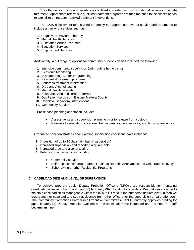The offender's criminogenic needs are identified and rated as to which should receive immediate treatment. Appropriate referrals to qualified treatment programs are then matched to the client's needs to capitalize on research-backed treatment interventions.

The CAIS assessment tool is used to identify the appropriate level of service and treatments to include an array of services such as:

- 1. Cognitive Behavioral Therapy
- 2. Mental Health Services
- 3. Substance Abuse Treatment
- 4. Education Services
- 5. Employment Services

Additionally, a full range of options for community supervision has included the following:

- 1. Intensive community supervision (with routine home visits)
- 2. Electronic Monitoring
- 3. Day Reporting Center programming
- 4. Residential treatment programs
- 5. Batterer's treatment intervention
- 6. Drug and Alcohol testing
- 7. Mental Health referrals
- 8. Substance Abuse disorder referrals
- 9. Out-Patient services in Eastern Madera County
- 10. Cognitive Behavioral interventions
- 11. Community Service

Pre-release planning orientation includes:

- Assessments and supervision planning prior to release from custody
- Referrals to education, vocational training/employment services, and housing resources

Graduated sanction strategies for violating supervision conditions have included:

- **1.** Imposition of up to 10 days jail (flash incarceration)
- **2.** Increased supervision and reporting requirements
- **3.** Increased drug and alcohol testing
- **4.** Referrals to other services including:
	- Community service
	- Self-help alcohol/ drug treatment such as Narcotic Anonymous and Celebrate Recovery
	- Sober Living or other Residential Programs

#### **C. CASELOAD SIZE AND LEVEL OF SUPERVISION**

To achieve program goals, Deputy Probation Officer's (DPO)'s are responsible for managing caseloads consisting of no more than (50) high risk, PRCS and 3N's offenders. We make every effort to maintain caseload sizes manageable within the (50) to (1) ratio, if the numbers fluctuate over 50 then we create another caseload and seek assistance from other officers for the supervision of said offenders. The Community Corrections Partnership Executive Committee (CCPEC) currently approves funding for approximately (8) Deputy Probation Officers as the caseloads have increased and the need for staff became imminent.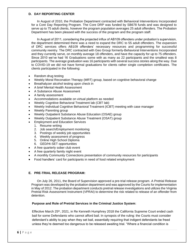## **D. DAY REPORTING CENTER**

In August of 2010, the Probation Department contracted with Behavioral Interventions Incorporated for a Core Day Reporting Program. The Core DRP was funded by SB678 funds and was designed to serve up to 75 adult clients, however the program population averages 25 adult offenders. The Probation Department has been pleased with the success of the program and the program staff.

In August of 2011, considering the projected influx of AB109 offenders under probation's supervision, the department determined there was a need to expand the DRC to 55 adult offenders. The expansion of DRC services offers AB109 offenders' necessary resources and programming for successful community reentry. The DRC contracted with Geo Group formerly-Behavioral Interventions Incorporated and they currently serve, on monthly average 18 offenders, and have the capacity for up to 75 offenders. Since 2010 we've had 16 Graduations some with as many as 22 participants and the smallest was 8 participants. The average graduation was 16 participants with several success stories along the way. Due to COVID-19 we did not have formal graduations for clients rather single completion certificates. The clients participated in the following:

- Random drug testing
- Weekly Moral Reconation Therapy (MRT) group, based on cognitive behavioral change
- Breathalyzer alcohol testing upon check in
- A brief Mental Health Assessment
- A Substance Abuse Assessment
- A family assessment
- Accommodations available on virtual platform as needed
- Weekly Cognitive Behavioral Treatment lab (CBT lab)
- Weekly Individual Cognitive Behavioral Treatment (ICBT) meeting with case manager
- Weekly Parenting group
- Weekly Outpatient Substance Abuse Education (OSAE) group
- Weekly Outpatient Substance Abuse Treatment (OSAT) group
- Employment and Education Services
	- 1. Resume writing
	- 2. Job search/Employment monitoring
	- 3. Postings of weekly job opportunities
	- 4. Weekly assessment of progress
	- 5. Online High School Diploma
	- 6. GED/Hi-SET opportunities
- A free quarterly sober club event
- A free quarterly family night event
- A monthly Community Connections presentation of community resources for participants
- Food handlers' card for participants in need of food related employment

## **E. PRE-TRIAL RELEASE PROGRAM:**

On July 26, 2011, the Board of Supervision approved a pre-trial release program. A Pretrial Release Program was developed by the probation department and was approved by the Courts for implementation in May of 2012. The probation department conducts pretrial release investigations and utilizes the Virginia Pretrial Risk Assessment Instrument (VPRAI) to determine the risk related to release of an offender from detention.

#### **Purpose and Role of Pretrial Services in the Criminal Justice System**:

Effective March 25<sup>th</sup>, 2021, in Re Kenneth Humphrey 2018 the California Supreme Court ended cash bail for some Defendants who cannot afford bail. In synopsis of the ruling: the Courts must consider defendant's ability to pay when they set bail, essentially requiring that indigent defendants be freed unless they're deemed too dangerous to be released awaiting trial. "Where a financial condition is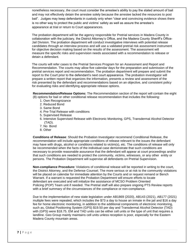nonetheless necessary, the court must consider the arrestee's ability to pay the stated amount of bail and may not effectively detain the arrestee solely because the arrestee lacked the resources to post bail". Judges may keep defendants in custody only when "clear and convincing evidence shows there is no other way to protect the public and victims' safety as well as assure the arrestee's appearance at trial or return to Court appearances.

 The probation department will be the agency responsible for Pretrial services in Madera County in collaboration with the judiciary, the District Attorney's Office, and the Madera County Sheriff's Office- Jail Division. The probation department will conduct investigative interviews with potential release candidates through an interview process and will use a validated pretrial risk assessment instrument for objective decision making based on the results of the assessment. The assessment will measure the specific risks and supervision needs associated with a recommendation to release or detain a defendant.

 The courts will refer cases to the Pretrial Services Program for an Assessment and Report and Recommendation. The courts may allow five calendar days for the preparation and submission of the pretrial services report and recommendation. The probation department will prepare and submit the report to the Court prior to the defendant's next court appearance. The probation investigator will prepare a written report that organizes the information, presents a review and assessment of the risk presented by the defendant and recommendations based on an objective, and consistent policy for evaluating risks and identifying appropriate release options.

 **Recommendation/Release Options:** The Recommendation section of the report will contain the eight (8) options for bail or other conditional release recommendation that includes the following:

- 1. Own Recognizance
- 2. Reduced Bond
- 3. Same Bond
- 4. Pre-Trial Release with conditions
- 5. Supervised Release
- 6. Intensive Supervised Release with Electronic Monitoring, GPS, Transdermal Alcohol Detector (TAD).
- 7. No Bond
- 8. Other

 **Conditions of Release**: Should the Probation Investigator recommend Conditional Release, the recommendation will include appropriate conditions of release relevant to the issues the defendant may have with drugs, alcohol or conditions related to victim(s), etc. The conditions of release will only be recommended when the facts of the individual case demonstrate that such conditions are necessary to provide reasonable assurance that the defendant will appear at court proceedings and/or that such conditions are needed to protect the community, victims, witnesses, or any other entity or persons. The Probation Department will supervise all defendants on Pretrial Supervision.

 **Non-compliance Procedure:** Violations of conditional release will be reported in writing to the court, the District Attorney, and the Defense Counsel. The more serious or at risk to the community violations will be placed on calendar for immediate attention by the Courts and or request remand or Bench Warrant. If a warrant is requested the Probation Department will ensure efforts to locate defendant are executed and will initialize the assistance of MCSO Problem Oriented Policing (POP) Team unit if needed. The Pretrial staff will also prepare ongoing PTS Review reports with a brief summary of the circumstances of the compliance or non-compliance.

 Due to the implementation of new state legislation under AB1869 (2020), AB143 (2021), AB177 (2021) multiple fees were repealed, which includes the \$73 a day to house an inmate in the jail and \$16 a day fee for home electronic monitoring, in addition to the additional components of electronic monitoring, such as, Global Positioning System (GPS) \$19.50 per day and Transdermal Alcohol Detector (TAD) with (GPS) were \$18.75. EM and TAD units can be either cell units or the type of unit that requires a landline. Geo Group mainly maintains cell units unless reception is poor, especially for the Eastern Madera County mountain areas.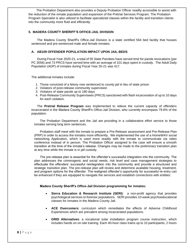The Probation Department also provides a Deputy Probation Officer readily accessible to assist with the reduction of the inmate population and expansion of the Pretrial Services Program. The Probation Program Specialist is also utilized to facilitate specialized classes within the facility and transition clients into the community more fluid and efficiently.

## **5. MADERA COUNTY SHERIFF'S OFFICE-JAIL DIVISION**

The Madera County Sheriff's Office-Jail Division is a state certified 564 bed facility that houses sentenced and pre-sentenced male and female inmates.

#### **A. AB109 OFFENDER POPULATION IMPACT UPON JAIL-BEDS**

During Fiscal Year 2020-21, a total of 55 State Parolees have served time for parole revocations (per PC 3056) and 73 PRCS have served time with an average of 101 days spent in custody. The Adult Daily Population (ADP) of inmates during Fiscal Year 20-21 was 417.

The additional inmates include:

- 1. Those convicted of a felony now sentenced to county jail in lieu of state prison
- 2. Violators of post-release community supervision
- 3. Violators of state parole up to 180 days
- 4. Post-Release Community Supervisees (PRCS) sanctioned with flash incarceration of up to 10 days for each violation.

The **Pretrial Release Program** was implemented to relieve the current capacity of offenders incarcerated in the Madera County Sheriff's Office-Jail Division, who currently encompass 79.6% of the population.

The Probation Department and the Jail are providing in a collaborative effort service to those inmates serving long term sentences.

Probation staff meet with the inmate to prepare a Pre-Release assessment and Pre-Release Plan (PRP) in order to access the inmates more efficiently. We implemented the use of a HomeWAV social networking Application, which is used more readily with the inmate to communicate via video conference instead of in person. The Probation Officer assigned to the case will ensure a smooth transition at the time of the inmate's release. Changes may be made to the preliminary transition plan at any time while the inmate is in jail custody.

The pre-release plan is essential for the offender's successful integration into the community. The plan addresses the criminogenic and social needs, risk level and case management strategies to effectuate the offenders' successful reintegration into the community and provide a structured and strategic transition plan. The pre-release plan will review and determine available housing, treatment, and program options for the offender. The realigned offender's opportunity for successful re-entry can be enhanced if they are equipped to navigate the services and establish connections with entities:

#### **Madera County Sheriff's Office-Jail Division programming for inmates:**

- **Sierra Education & Research Institute (SERI)**: a non-profit agency that provides psychological services to forensic populations. SERI provides 10-week psychoeducational classes for inmates in the Madera County Jail.
- **ACE Overcomers**: curriculum which remediates the effects of Adverse Childhood Experiences which are prevalent among incarcerated populations.
- **GRID Alternatives**: a vocational solar installation program course instruction, which includes hands on on-site training. Each 40-hour class trains up to 10 participants, 2 hours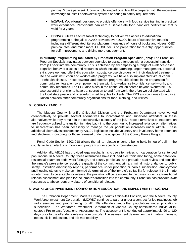per day, 5 days per week. Upon completion participants will be prepared with the necessary knowledge to install photovoltaic systems adhering to safety requirements.

- **In2Work Vocational**: designed to provide offenders with food service training in practical work experience. Participants can earn a Serve Safe food handler's certification that is valid for 3 years.
- **EDOVO:** utilizes secure tablet technology to deliver free access to educational programming at the jail. EDOVO provides over 20,000 hours of substantive material, including a differentiated literacy platform, thousands of hours of books and videos, GED prep courses, and much more. EDOVO focus on preparation for re-entry, opportunities for self-improvement, and driving more engagement.

**In custody Programming facilitated by Probation Program Specialist (PPS)**: The Probation Program Specialist navigates between agencies to assist offenders with a successful transition from jail back into the community. This is achieved by encompassing a range of evidence-based cognitive behavior classes and resources which include parenting, anger management, personal skills development, Life Skills education, substance use disorders with individualized treatment, life and work instruction and work-related programs. We have also implemented virtual Zoom Telehealth classes. These powerful and effective programs aide clients in the preparation for community reintegration by empowering them with knowledge, self-confidence, self-worth, and community resources. The PPS also aides in the continued job search beyond Workforce. It's also essential that clients have transportation to and from work, therefore we collaborated with the local state prison and offer refurbished bicycles to clients. The PPS also continues to act as a liaison between other community organizations for food, clothing, and utilities.

#### **B. COUNTY PAROLE**

The Madera County Sheriff's Office-Jail Division and the Probation Department have worked collaboratively to provide several alternatives to incarceration and supervise offenders in these alternatives while they remain in the constructive custody of the jail. These alternatives to incarceration are frequently utilized to transition inmates back into the community. Increased reliance on alternatives to incarceration has been necessary to manage the jail population increases under AB109. These additional alternatives provided for by AB109 legislation include voluntary and involuntary home detention and electronic monitoring for those released under the auspices of the County Parole Program.

Penal Code Section 1203.018 allows the jail to release prisoners being held, in lieu of bail, in the county jail to an electronic monitoring program under specific circumstances.

Additionally, AB109 has provided legal mechanisms to use alternatives to incarceration for sentenced populations. In Madera County, these alternatives have included electronic monitoring, home detention, residential treatment beds, work furlough, and county parole. Jail and probation staff review and consider the inmate's pre-sentence report, the gravity of the commitment crime, criminal history, danger to public safety, institution disciplinary reports, performance under probation or parole supervision, employment and housing status to make an informed determination of the inmate's suitability for release. If the inmate is determined to be suitable for release, the probation officer assigned to the case conducts a transitional release assessment and plan for the inmate's transition into the community. Probation has provided swift responses to absconders or violators of conditional release.

#### **6. WORKFORCE INVESTMENT CORPORATION EDUCATION AND EMPLOYMENT PROGRAM**

The Probation Department, Madera County Sheriff's Office-Jail Division, and the Madera County Workforce Investment Corporation (MCWIC) continue to partner under a contract for job readiness, job skills services and programming for AB 109 offenders and other populations under probation's supervision. The Workforce Investment Corporation of Madera County administered individual incustody Pre-release Vocational Assessments. The assessment is conducted approximately 90 to 120 days prior to the offender's release from custody. The assessment determines the inmate's interests, needs, skills, education, and job marketability.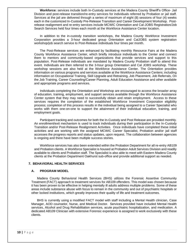**Workforce:** services include both In-Custody services at the Madera County Sheriff's Office- Jail Division and post-release transition/re-entry services for individuals referred by Probation or jail staff. Services at the jail are delivered through a series of maximum of eight (8) sessions of four (4) weeks each in the customized In-Custody Pre-Release Transition and Career Development Workshop. Postrelease realignment and re-entry services include MCWIC Orientation and Cal-JOBS Registration/Job Search Services held four times each month at the Workforce Assistance Center location.

In addition to the in-custody transition workshops, the Madera County Workforce Investment Corporation provides a 3-hour dedicated group Orientation and CalJOBS system registration workshop/job search service to Post-Release individuals four times per month.

The Post-Release services are enhanced by facilitating monthly Resource Fairs at the Madera County Workforce Assistance Center, which briefly introduce individuals to the Center and connect them to mentors and community-based organizations that provide services and support to this population. Post-Release individuals are mandated by Madera County Probation staff to attend this event. Individuals are then referred to the 3-hour group Orientation and Cal JOBS workshop. These workshop sessions are also held at the Workforce Assistance Center. The Orientation provides information on various programs and services available at the Workforce Assistance Centers; including information on Occupational Training, Skill Upgrade and Retraining, Job Placement, Job Referrals, On the Job Training, Career Counseling/Career Planning, Adult Education Assistance and other available and appropriate programs and services.

Individuals completing the Orientation and Workshop are encouraged to access the broader array of education, training, employment, and support services available through the Workforce Assistance Center system that they may need to successfully obtain and retain employment. Access to these services requires the completion of the established Workforce Investment Corporation eligibility process; completion of this process results in the individual being assigned to a Career Specialist who works with them one-on-one to support the attainment of their individual education, training, and employment goals.

Participant tracking and outcomes for both the In-Custody and Post Release are provided monthly. An enrollment/exit mechanism is used to track individuals during their participation in the In-Custody Transition and/or Post-Release Realignment Activities. Once individuals have completed these initial activities and are working with the assigned MCWIC Career Specialist, Probation and/or jail staff accesses the progress reports and status updates, upon request. The collaboration between agencies is ongoing and there have been multiple success stories.

Workforce services has also been extended within the Probation Department for all re-entry AB109 and Probation clients. A Workforce Specialist is housed at Probation Adult Services Division and readily available to clients and Probation staff. The Specialist is also able to meet with Eastern Madera County clients at the Probation Department Oakhurst sub-office and provide additional support as needed.

#### **7. BEHAVIORAL HEALTH SERVICES**

#### **A. PROGRAM MODEL**

Madera County Behavioral Health Services (BHS) utilizes the Forensic Assertive Community Treatment (FACT) approach to treatment services for AB109 offenders. This model was chosen because it has been proven to be effective in helping mentally ill adults address multiple problems. Some of these areas include substance abuse with focus to remain in the community and out of psychiatric hospitals or other locked institutions, which greatly improves their quality of life and treatment outcomes.

BHS is currently using a modified FACT model with staff including a Mental Health clinician, Case Manager, AOD counselor, Nurse, and Medical Doctor. Services provided have included Mental Health services, Alcohol and Drug Rehabilitation services, acute psychiatric hospitalization, and medication. A dedicated AB109 Clinician with extensive Forensic experience is assigned to work exclusively with these clients.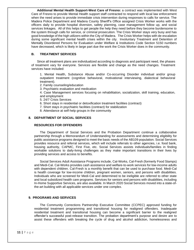**Additional Mental Health Support-West Care of Fresno:** a contract was implemented with West Care of Fresno to provide Mental Health support staff contracted to respond with local law enforcement when the need arises to provide immediate crisis intervention during responses to calls for service. The Madera Police Department and Madera County Sheriff's Office assigned Crisis Worker works with the officers daily to provide hospital diversion, safety planning, case management follow up, and social services linkages. All of this helps to get people the help they need before they become burdensome to the system through calls for service, or criminal prosecution. The Crisis Worker stays very busy and has good knowledge of the high utilizers within the City of Madera. The Crisis Worker helps with de-escalation during some significant mental health crises within the city. Involuntary Treatment and Detention of Mentally Disordered Persons for Evaluation under Welfare & Institutions Code Section 5150 numbers have decreased, which is likely in large part due the work the Crisis Worker does in the community.

## **B. TREATMENT SERVICES**

Since all treatment plans are individualized according to diagnosis and participant need, the phases of treatment vary for everyone. Services are flexible and change as the need changes. Treatment services have included:

1. Mental Health, Substance Abuse and/or Co-occurring Disorder individual and/or group outpatient treatment (cognitive behavioral, motivational interviewing, dialectical behavioral treatment).

2. Family counseling/education

3. Psychiatric evaluation and medication

4. Case Management services focusing on rehabilitation, socialization, skill training, education, and employment

5. 24/7 Crisis Services

- 6. Short stays in residential or detoxification treatment facilities (contract)
- 7. Short stays in psychiatric facilities (contract) for stabilization

8. Attendance at self-help groups in the community

#### **8. DEPARTMENT OF SOCIAL SERVICES**

#### **RESOURCES FOR OFFENDERS**

The Department of Social Services and the Probation Department continue a collaborative partnership through a Memorandum of Understanding for assessments and determining eligibility for public assistance programs designed to meet the basic needs of the AB109 population. Social Services provides resource and referral services, which will include referrals to other agencies, i.e. food bank, housing authority, CAPMC, First Five, etc. Social Services assists individuals/families in finding workable solutions to daily-living challenges as they make important transitions in their lives by providing services and access to benefits.

Social Services Adult Assistance Programs include, Cal-Works, Cal-Fresh (formerly Food Stamps) and Medi-Cal. Cal-Works provides cash assistance and welfare-to-work services for low-income adults with dependent children. Cal-Fresh is a monthly benefit that can be used to purchase food. Medi-Cal is health coverage for low-income children, pregnant women, seniors, and persons with disabilities. Individuals who are screened for Medi-Cal and determined to be ineligible are referred to other state and local subsidized health care programs. Services for seniors and persons with disabilities, including In-Home Supportive Services, are also available. In March 2020 Social Services moved into a state-ofthe-art building with all applicable services under one complex.

## **9. PROGRAMS AND SERVICES**

The Community Corrections Partnership Executive Committee (CCPEC) approved funding for residential treatment programming and transitional housing for realigned offenders. Inadequate residential treatment and transitional housing can become a significant barrier to the realigned offender's successful post-release transition. The probation department's purpose and desire are to assist these offenders with breaking the cycle of drug and alcohol addiction, homelessness and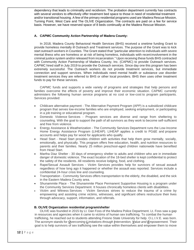dependency that leads to criminality and recidivism. The probation department currently has contracts with several vendors to effectively offer treatment bed space to those in need of residential treatment and/or transitional housing. A few of the primary residential programs used are Madera Rescue Mission, Turning Point, West Care and The OLIVE Organization. The contracts are paid on a fee for service basis. However, we have reserved space of 8 beds continually at the Madera Rescue Mission.

## **A. CAPMC Community Action Partnership of Madera County:**

In 2018, Madera County Behavioral Health Services (BHS) received a onetime funding Grant to provide homeless mentally ill Outreach and Treatment services. The purpose of the Grant was to kick start outreach workers in Counties. The Grant stated that "particular attention to individuals with severe mental illness who are homeless or at risk of being homeless, individuals with recent involvement in the criminal justice system and/or released from incarceration." Upon receiving these funds BHS contracted with Community Action Partnership of Madera County, Inc. (CAPMC) to provide Outreach services. CAPMC hired staff in July 2019 to provide the Outreach services. Since day one this program has been extremely successful. The Outreach workers do not provide treatment services, but immediate connection and support services. When individuals need mental health or substance use disorder treatment services they are referred to BHS or other local providers. BHS then uses other treatment funds to pay for these services.

CAPMC funds and supports a wide variety of programs and strategies that help persons and families overcome the effects of poverty and improve their economic situation. CAPMC currently administers the following human service programs at no cost or low-cost to program participants. Services provided:

- Childcare alternative payment The Alternative Payment Program (APP) is a subsidized childcare program that serves low-income families who are employed, seeking employment, or participating in a job training or educational program.
- Domestic Violence Services Program services are diverse and range from sheltering to counseling. With the goal to support the path of all survivors as they work to become self-sufficient and free from violence.
- Energy Assistance & Weatherization The Community Services Department runs the Low-Income Home Energy Assistance Program (LIHEAP). LIHEAP applies a credit to PG&E and propane accounts and helps pay for wood for applicants who qualify.
- Head Start Head Start provides children with activities that help them grow mentally, socially, emotionally, and physically. This program offers free education, health, and nutrition resources to parents and their families. Nearly 25 million preschool-aged children nationwide have benefited from Head Start.
- Martha Diaz Shelter 30 days of emergency shelter to adults and children who are in immediate danger of domestic violence. The exact location of the 18-bed shelter is kept confidential to protect the safety of the residents. All residents receive lodging, food, and clothing.
- Rape/Sexual Assault Services Victim Services provides help for survivors of sexual assault regardless of how long ago it happened or whether the assault was reported. Services include a confidential 24-hour crisis line and counseling.
- Transportation Community Services offers transportation to the elderly, the disabled, and the sick in the Eastern Madera County area.
- Shunammite Place The Shunammite Place Permanent Supportive Housing is a program under the Community Services Department. It houses chronically homeless clients with disabilities.
- Victim and Witness Services Victim Services strives to reduce the trauma of a crime by empowering and assisting crime victims, witnesses, and significant others restructure their lives through advocacy, support, information, and referrals.

#### **B. OLIVE Organization residential program/shelter**

OLIVE was founded in 2015 by Lt. Dan Foss of the Madera Police Department. Lt. Foss saw a gap in resources and agencies when it came to victims of human sex trafficking. To combat the human trafficking, he reached out to students attending Fresno State University for help. O.L.I.V.E. was born. The acronym stands for *Overcoming Limitations through Intervention, Value and Empowerment.* Their goal is to help survivors of sex trafficking see the value within themselves and empower them to move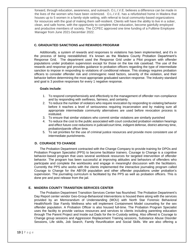forward, through education, awareness, and outreach. O.L.I.V.E. believes a difference can be made in the lives of the women who have been victimized. O.L.I.V.E. has a refurbished home in Madera that houses up to 5 women in a family-style setting, with referral to local community-based organizations for resources with the goal of making them self-resilient. Clients will have the ability to live in a sober, clean, and safe home, with the opportunity to complete their education, become gainfully employed and productive members of society. The CCPEC approved one time funding of a Fulltime Employee Manager from June 2021-December 2022.

## **C. GRADUATED SANCTIONS and REWARDS PROGRAM**

Additionally, a system of rewards and responses to violations has been implemented, and it's in the process of being reestablished. It's known as the Madera County Probation Department's Response Grid. The department used the Response Grid under a Pilot program with offender populations under probation supervision except for those on the low risk caseload. The use of the rewards and response grid provides guidance to probation officers regarding the type of intermediate sanction to impose in responding to violations of conditional release. This strategy requires probation officers to consider offender risk and criminogenic need factors, severity of the violation, and their behavior before determining the most appropriate graduated sanction response. The industry standard and goal is 3 positive responses for every 1 negative response.

#### **Goals include**:

- 1. To respond comprehensively and effectively to the management of offender non-compliance and by responding with swiftness, fairness, and certainty.
- 2. To reduce the number of violators who require revocation by responding to violating behavior before it reaches a level of seriousness requiring incarceration and by making sure all appropriate intermediate community alternatives are used before revocation process is instituted.
- 3. To ensure that similar violators who commit similar violations are similarly punished
- 4. To reduce the cost to the public associated with court conducted probation violation hearings and effect future cost reductions in judicial/court time, indigent defense, district attorney time, probation/parole officer time.
- 5. To set priorities for the use of criminal justice resources and provide more consistent use of intermediate punishments.

#### **D. COURAGE TO CHANGE**

The Probation Department contracted with the Change Company to provide training for DPOs and Probation Program Specialist (PPS) to become facilitator trainers. Courage to Change is a cognitive behavior-based program that uses several workbook resources for targeted intervention of offender behavior. The program has been successful at improving attitudes and behaviors of offenders who participate and complete the workbooks and engage in meaningful discussion with the facilitators. Currently the PPS who works with the clients implemented the interactive journaling program called Courage to Change for the AB109 population and other offender populations under probation's supervision. The journaling curriculum is facilitated by the PPS as well as probation officers. This is done pre and post release from the jail.

#### **E. MADERA COUNTY TRANSITION SERVICES CENTER**

The Probation Department Transition Services Center has flourished. The Probation Department's Day Report center vendor Geo-Group-Behavioral Interventions is housed there along with the services provided by an Memorandum of Understanding (MOU) with North Star Forensic Behavioral Health/North Star Family Wellness who will implement Containment Model counseling for the sex offender population. A Probation Officer is also housed full-time. The Probation Program Specialist uses the facility to provide various resources and services to clients including parenting education through The Parent Project and Inside out Dads for the In-Custody setting. Also offered is Courage to Change group sessions and Aggression Replacement Training sessions, Substance Abuse Disorder Sessions, Life skills, Job Search, Family Reunification and Social Skills. We are also offering a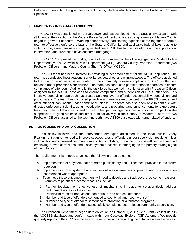Batterer's Intervention Program for indigent clients, which is also facilitated by the Probation Program Specialist.

## **F. MADERA COUNTY GANG TASKFORCE**

MADGET was established in February 2006 and has developed into the Special Investigation Unit (SIU) under the direction of the Madera Police Department officials, as gang violence in Madera County began to grow out of control. Working cooperatively, participating agencies came together to form a team to effectively enforce the laws of the State of California, and applicable federal laws relating to violent crime, street terrorism and gang related crime. SIU has focused its efforts on the suppression, intervention, and prevention of violent crime and gangs.

The CCPEC approved the funding of one officer from each of the following agencies: Madera Police Department (MPD); Chowchilla Police Department (CPD); Madera County Probation Department (two Probation Officers); and Madera County Sheriff's Office (MCSO).

The SIU team has been involved in providing direct enforcement for the AB109 population. The team has conducted investigations, surveillance, searches, and warrant sweeps. The officers assigned to the task force address issues related to the community release compliance of AB 109 offenders released under probation's supervision. The team has conducted parole/probation searches to ensure compliance of offenders. Additionally, the task force has worked in conjunction with Probation Officers assigned to the AB 109 caseloads to ensure compliance and supervision of PRCS offenders. This intensive supervision approach has created an extra layer of offender accountability, supervision, and public safety. The team has combined proactive and reactive enforcement of the PRCS offender and other offender populations under conditional release. The team has also been able to continue with directed enforcement details, gang investigations, and preparing gang enhancements for expert court testimony. The collaborative operation with other partner agencies has a significant impact on the suppression of gang violence and other criminal activity in the County of Madera. There are two Probation Officers assigned to the task and both have AB109 caseloads with gang related offenders.

#### **10. OUTCOMES AND DATA COLLECTION**

This policy initiative and the intervention strategies articulated in the local Public Safety Realignment plan is intended to improve success rates of offenders under supervision resulting in less victimization and increased community safety. Accomplishing this in the most cost-efficient manner and employing proven correctional and justice system practices, is emerging as the primary strategic goal of the initiative.

The Realignment Plan hopes to achieve the following three outcomes:

- a. Implementation of a system that promotes public safety and utilizes best practices in recidivism reduction.
- b. Implementation of a system that effectively utilizes alternatives to pre-trial and post-conviction incarceration where appropriate.
- c. To achieve these outcomes, partners will need to develop and track several outcome measures. Examples of potential outcome measures include:
	- 1. Partner feedback on effectiveness of mechanisms in place to collaboratively address realignment issues as they arise.
	- 2. Recidivism rates for non-violent, non-serious, and non-sex offenders.
	- 3. Number and type of offenders sentenced to county jail and "county prison".
	- 4. Number and type of offenders sentenced to probation or alternative programs.
	- 5. Number and type of offenders successfully completing post-release community supervision.

The Probation Department began data collection on October 1, 2011; we currently collect data in the ACCESS database and conform stats within our Caseload Explorer (CE) Automon. We provide quarterly reports to the CCP committee and have discussions regarding the data. We are in the process